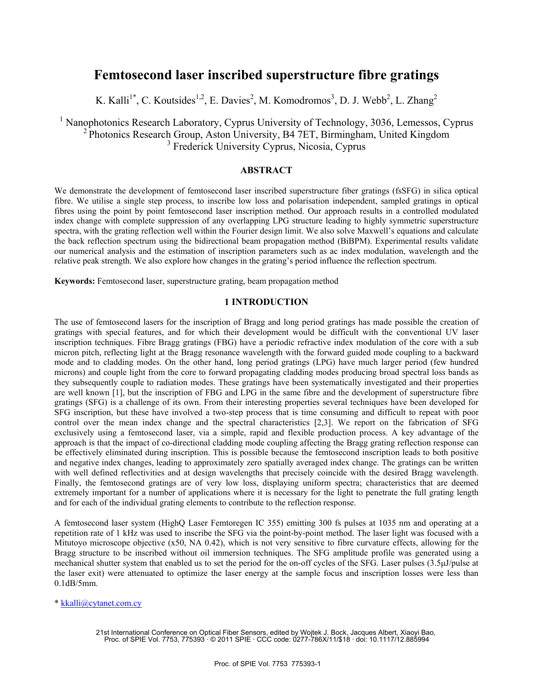# **Femtosecond laser inscribed superstructure fibre gratings**

K. Kalli<sup>1\*</sup>, C. Koutsides<sup>1,2</sup>, E. Davies<sup>2</sup>, M. Komodromos<sup>3</sup>, D. J. Webb<sup>2</sup>, L. Zhang<sup>2</sup>

<sup>1</sup> Nanophotonics Research Laboratory, Cyprus University of Technology, 3036, Lemessos, Cyprus <sup>2</sup> Photonics Research Group, Aston University, B4 7ET, Birmingham, United Kingdom 3 Frederick University Cyprus, Nicosia, Cyprus

## **ABSTRACT**

We demonstrate the development of femtosecond laser inscribed superstructure fiber gratings (fsSFG) in silica optical fibre. We utilise a single step process, to inscribe low loss and polarisation independent, sampled gratings in optical fibres using the point by point femtosecond laser inscription method. Our approach results in a controlled modulated index change with complete suppression of any overlapping LPG structure leading to highly symmetric superstructure spectra, with the grating reflection well within the Fourier design limit. We also solve Maxwell's equations and calculate the back reflection spectrum using the bidirectional beam propagation method (BiBPM). Experimental results validate our numerical analysis and the estimation of inscription parameters such as ac index modulation, wavelength and the relative peak strength. We also explore how changes in the grating's period influence the reflection spectrum.

**Keywords:** Femtosecond laser, superstructure grating, beam propagation method

## **1 INTRODUCTION**

The use of femtosecond lasers for the inscription of Bragg and long period gratings has made possible the creation of gratings with special features, and for which their development would be difficult with the conventional UV laser inscription techniques. Fibre Bragg gratings (FBG) have a periodic refractive index modulation of the core with a sub micron pitch, reflecting light at the Bragg resonance wavelength with the forward guided mode coupling to a backward mode and to cladding modes. On the other hand, long period gratings (LPG) have much larger period (few hundred microns) and couple light from the core to forward propagating cladding modes producing broad spectral loss bands as they subsequently couple to radiation modes. These gratings have been systematically investigated and their properties are well known [1], but the inscription of FBG and LPG in the same fibre and the development of superstructure fibre gratings (SFG) is a challenge of its own. From their interesting properties several techniques have been developed for SFG inscription, but these have involved a two-step process that is time consuming and difficult to repeat with poor control over the mean index change and the spectral characteristics [2,3]. We report on the fabrication of SFG exclusively using a femtosecond laser, via a simple, rapid and flexible production process. A key advantage of the approach is that the impact of co-directional cladding mode coupling affecting the Bragg grating reflection response can be effectively eliminated during inscription. This is possible because the femtosecond inscription leads to both positive and negative index changes, leading to approximately zero spatially averaged index change. The gratings can be written with well defined reflectivities and at design wavelengths that precisely coincide with the desired Bragg wavelength. Finally, the femtosecond gratings are of very low loss, displaying uniform spectra; characteristics that are deemed extremely important for a number of applications where it is necessary for the light to penetrate the full grating length and for each of the individual grating elements to contribute to the reflection response.

A femtosecond laser system (HighQ Laser Femtoregen IC 355) emitting 300 fs pulses at 1035 nm and operating at a repetition rate of 1 kHz was used to inscribe the SFG via the point-by-point method. The laser light was focused with a Mitutoyo microscope objective (x50, NA 0.42), which is not very sensitive to fibre curvature effects, allowing for the Bragg structure to be inscribed without oil immersion techniques. The SFG amplitude profile was generated using a mechanical shutter system that enabled us to set the period for the on-off cycles of the SFG. Laser pulses  $(3.5 \mu J$ /pulse at the laser exit) were attenuated to optimize the laser energy at the sample focus and inscription losses were less than 0.1dB/5mm.

#### \* kkalli@cytanet.com.cy

<sup>21</sup>st International Conference on Optical Fiber Sensors, edited by Wojtek J. Bock, Jacques Albert, Xiaoyi Bao, Proc. of SPIE Vol. 7753, 775393 · © 2011 SPIE · CCC code: 0277-786X/11/\$18 · doi: 10.1117/12.885994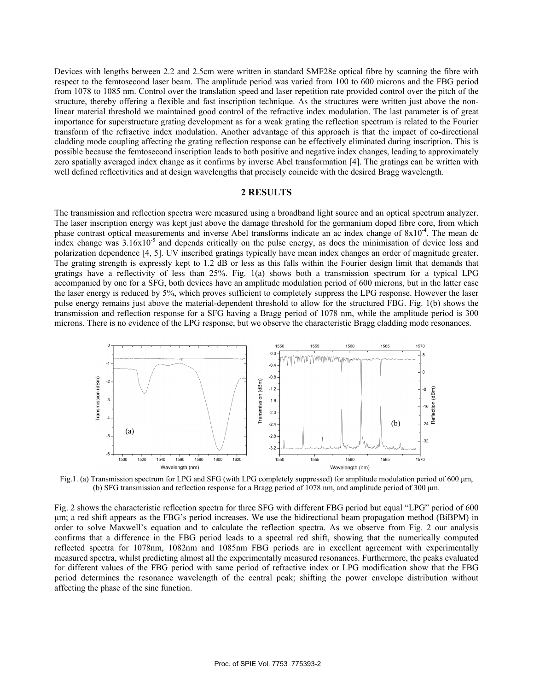Devices with lengths between 2.2 and 2.5cm were written in standard SMF28e optical fibre by scanning the fibre with respect to the femtosecond laser beam. The amplitude period was varied from 100 to 600 microns and the FBG period from 1078 to 1085 nm. Control over the translation speed and laser repetition rate provided control over the pitch of the structure, thereby offering a flexible and fast inscription technique. As the structures were written just above the nonlinear material threshold we maintained good control of the refractive index modulation. The last parameter is of great importance for superstructure grating development as for a weak grating the reflection spectrum is related to the Fourier transform of the refractive index modulation. Another advantage of this approach is that the impact of co-directional cladding mode coupling affecting the grating reflection response can be effectively eliminated during inscription. This is possible because the femtosecond inscription leads to both positive and negative index changes, leading to approximately zero spatially averaged index change as it confirms by inverse Abel transformation [4]. The gratings can be written with well defined reflectivities and at design wavelengths that precisely coincide with the desired Bragg wavelength.

## **2 RESULTS**

The transmission and reflection spectra were measured using a broadband light source and an optical spectrum analyzer. The laser inscription energy was kept just above the damage threshold for the germanium doped fibre core, from which phase contrast optical measurements and inverse Abel transforms indicate an ac index change of  $8x10^{-4}$ . The mean dc index change was  $3.16\times10^{-5}$  and depends critically on the pulse energy, as does the minimisation of device loss and polarization dependence [4, 5]. UV inscribed gratings typically have mean index changes an order of magnitude greater. The grating strength is expressly kept to 1.2 dB or less as this falls within the Fourier design limit that demands that gratings have a reflectivity of less than 25%. Fig. 1(a) shows both a transmission spectrum for a typical LPG accompanied by one for a SFG, both devices have an amplitude modulation period of 600 microns, but in the latter case the laser energy is reduced by 5%, which proves sufficient to completely suppress the LPG response. However the laser pulse energy remains just above the material-dependent threshold to allow for the structured FBG. Fig. 1(b) shows the transmission and reflection response for a SFG having a Bragg period of 1078 nm, while the amplitude period is 300 microns. There is no evidence of the LPG response, but we observe the characteristic Bragg cladding mode resonances.



Fig.1. (a) Transmission spectrum for LPG and SFG (with LPG completely suppressed) for amplitude modulation period of 600 μm, (b) SFG transmission and reflection response for a Bragg period of 1078 nm, and amplitude period of 300 μm.

Fig. 2 shows the characteristic reflection spectra for three SFG with different FBG period but equal "LPG" period of 600 μm; a red shift appears as the FBG's period increases. We use the bidirectional beam propagation method (BiBPM) in order to solve Maxwell's equation and to calculate the reflection spectra. As we observe from Fig. 2 our analysis confirms that a difference in the FBG period leads to a spectral red shift, showing that the numerically computed reflected spectra for 1078nm, 1082nm and 1085nm FBG periods are in excellent agreement with experimentally measured spectra, whilst predicting almost all the experimentally measured resonances. Furthermore, the peaks evaluated for different values of the FBG period with same period of refractive index or LPG modification show that the FBG period determines the resonance wavelength of the central peak; shifting the power envelope distribution without affecting the phase of the sinc function.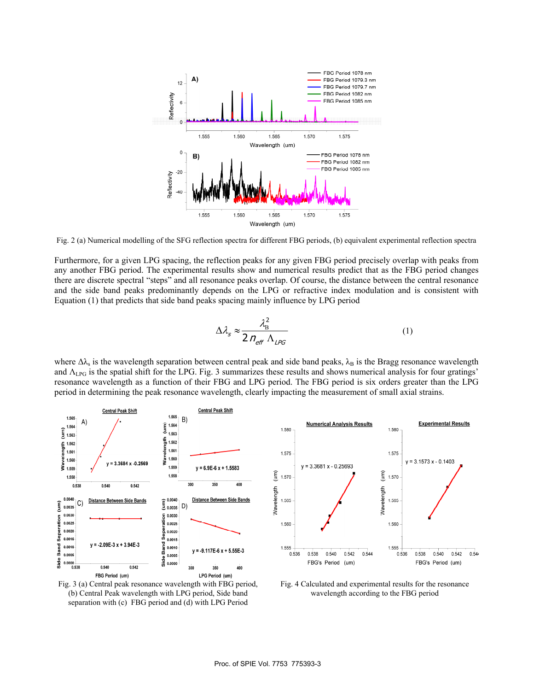

Fig. 2 (a) Numerical modelling of the SFG reflection spectra for different FBG periods, (b) equivalent experimental reflection spectra

Furthermore, for a given LPG spacing, the reflection peaks for any given FBG period precisely overlap with peaks from any another FBG period. The experimental results show and numerical results predict that as the FBG period changes there are discrete spectral "steps" and all resonance peaks overlap. Of course, the distance between the central resonance and the side band peaks predominantly depends on the LPG or refractive index modulation and is consistent with Equation (1) that predicts that side band peaks spacing mainly influence by LPG period

$$
\Delta \lambda_s \approx \frac{\lambda_{\rm B}^2}{2 n_{\rm eff} \Lambda_{\rm LPG}} \tag{1}
$$

where  $\Delta\lambda_s$  is the wavelength separation between central peak and side band peaks,  $\lambda_B$  is the Bragg resonance wavelength and  $\Lambda_{LPG}$  is the spatial shift for the LPG. Fig. 3 summarizes these results and shows numerical analysis for four gratings' resonance wavelength as a function of their FBG and LPG period. The FBG period is six orders greater than the LPG period in determining the peak resonance wavelength, clearly impacting the measurement of small axial strains.





Fig. 4 Calculated and experimental results for the resonance wavelength according to the FBG period